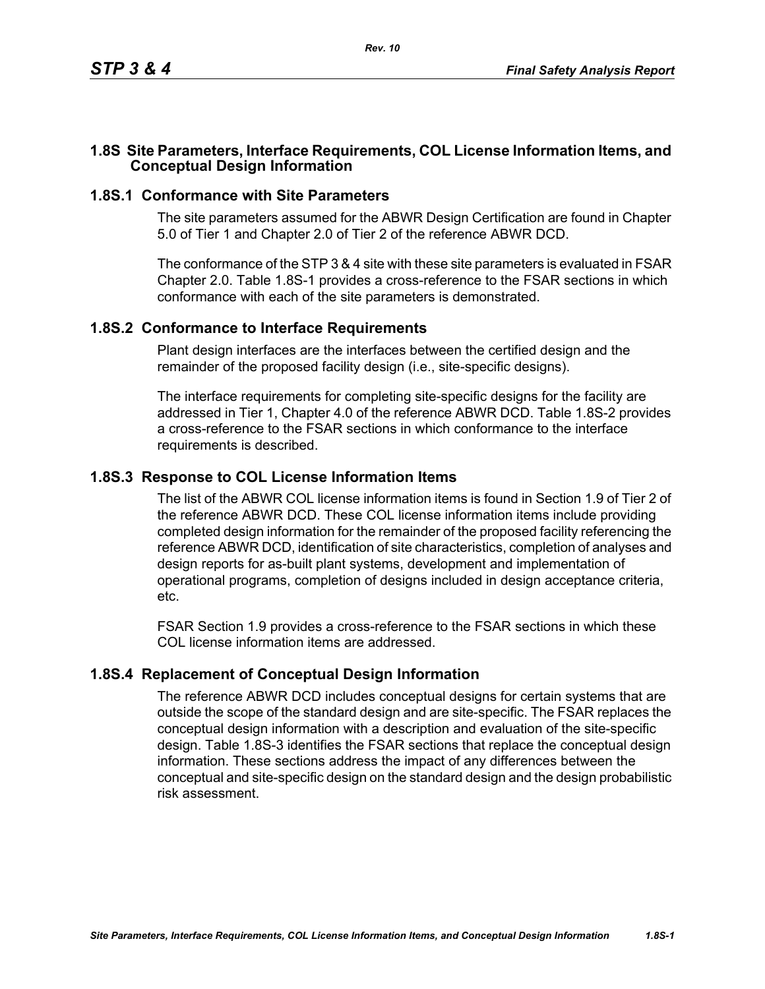### **1.8S Site Parameters, Interface Requirements, COL License Information Items, and Conceptual Design Information**

#### **1.8S.1 Conformance with Site Parameters**

The site parameters assumed for the ABWR Design Certification are found in Chapter 5.0 of Tier 1 and Chapter 2.0 of Tier 2 of the reference ABWR DCD.

The conformance of the STP 3 & 4 site with these site parameters is evaluated in FSAR Chapter 2.0. Table [1.8S-1](#page-1-0) provides a cross-reference to the FSAR sections in which conformance with each of the site parameters is demonstrated.

#### **1.8S.2 Conformance to Interface Requirements**

Plant design interfaces are the interfaces between the certified design and the remainder of the proposed facility design (i.e., site-specific designs).

The interface requirements for completing site-specific designs for the facility are addressed in Tier 1, Chapter 4.0 of the reference ABWR DCD. Table [1.8S-2](#page-2-0) provides a cross-reference to the FSAR sections in which conformance to the interface requirements is described.

#### **1.8S.3 Response to COL License Information Items**

The list of the ABWR COL license information items is found in Section 1.9 of Tier 2 of the reference ABWR DCD. These COL license information items include providing completed design information for the remainder of the proposed facility referencing the reference ABWR DCD, identification of site characteristics, completion of analyses and design reports for as-built plant systems, development and implementation of operational programs, completion of designs included in design acceptance criteria, etc.

FSAR Section 1.9 provides a cross-reference to the FSAR sections in which these COL license information items are addressed.

### **1.8S.4 Replacement of Conceptual Design Information**

The reference ABWR DCD includes conceptual designs for certain systems that are outside the scope of the standard design and are site-specific. The FSAR replaces the conceptual design information with a description and evaluation of the site-specific design. Table [1.8S-3](#page-3-0) identifies the FSAR sections that replace the conceptual design information. These sections address the impact of any differences between the conceptual and site-specific design on the standard design and the design probabilistic risk assessment.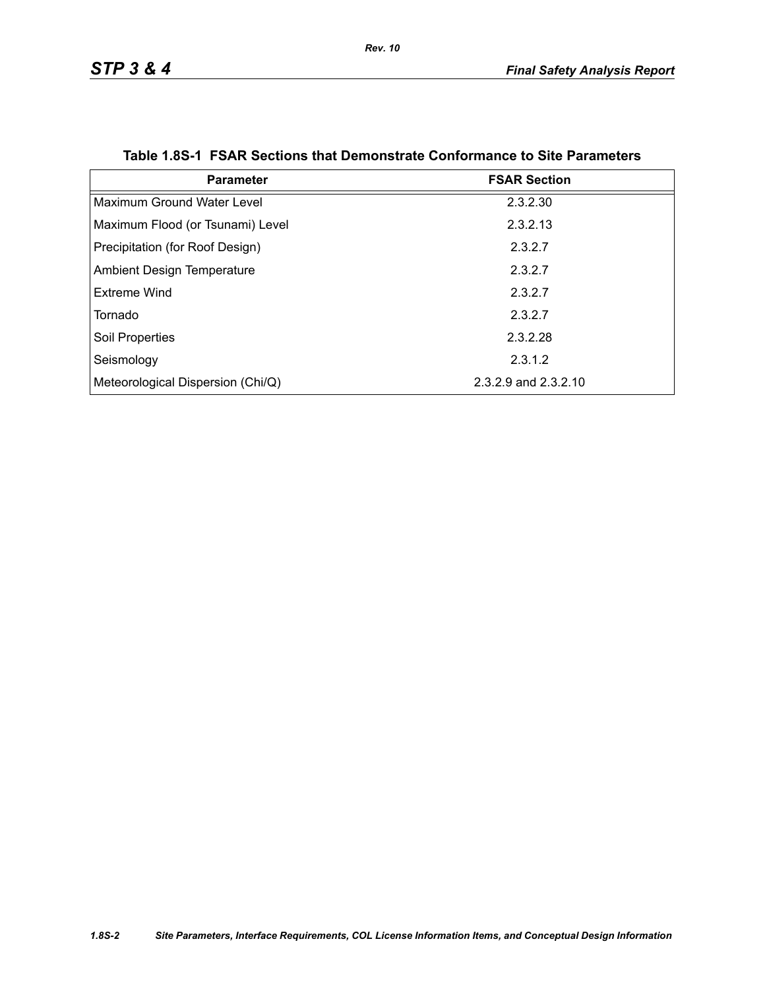<span id="page-1-0"></span>

| <b>Parameter</b>                  | <b>FSAR Section</b>  |
|-----------------------------------|----------------------|
| Maximum Ground Water Level        | 2.3.2.30             |
| Maximum Flood (or Tsunami) Level  | 2.3.2.13             |
| Precipitation (for Roof Design)   | 2.3.2.7              |
| <b>Ambient Design Temperature</b> | 2.3.2.7              |
| Extreme Wind                      | 2.3.2.7              |
| Tornado                           | 2.3.2.7              |
| Soil Properties                   | 2.3.2.28             |
| Seismology                        | 2.3.1.2              |
| Meteorological Dispersion (Chi/Q) | 2.3.2.9 and 2.3.2.10 |

|  |  | Table 1.8S-1 FSAR Sections that Demonstrate Conformance to Site Parameters |  |  |
|--|--|----------------------------------------------------------------------------|--|--|
|--|--|----------------------------------------------------------------------------|--|--|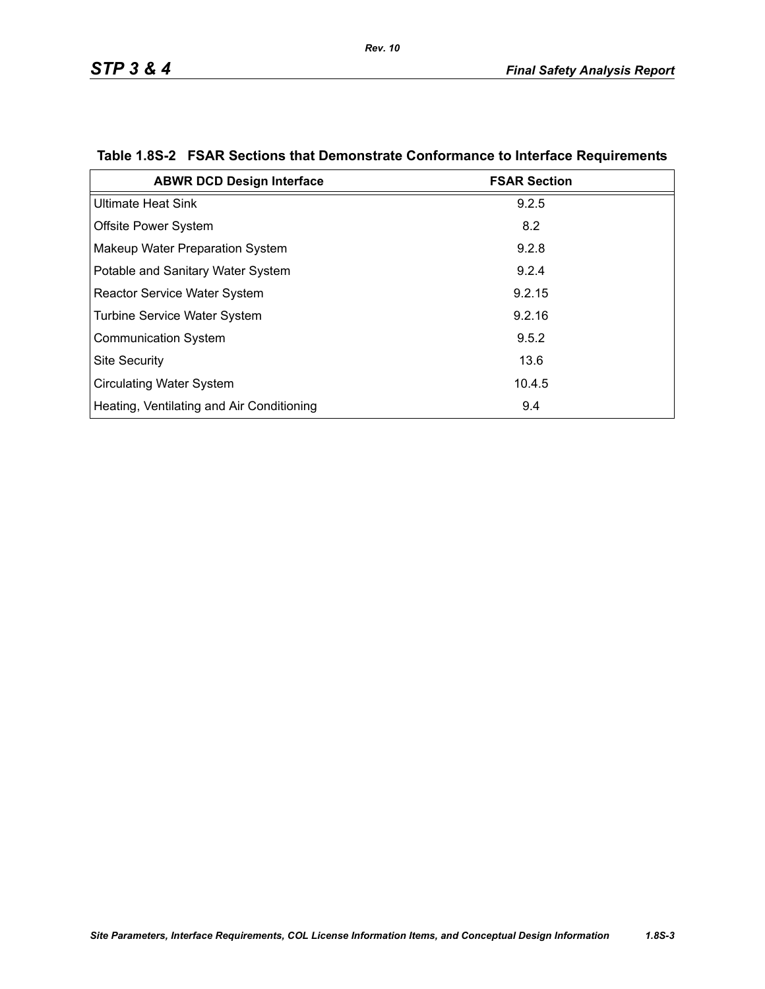| <b>ABWR DCD Design Interface</b>          | <b>FSAR Section</b> |
|-------------------------------------------|---------------------|
| <b>Ultimate Heat Sink</b>                 | 9.2.5               |
| <b>Offsite Power System</b>               | 8.2                 |
| Makeup Water Preparation System           | 9.2.8               |
| Potable and Sanitary Water System         | 9.2.4               |
| <b>Reactor Service Water System</b>       | 9.2.15              |
| <b>Turbine Service Water System</b>       | 9.2.16              |
| <b>Communication System</b>               | 9.5.2               |
| <b>Site Security</b>                      | 13.6                |
| <b>Circulating Water System</b>           | 10.4.5              |
| Heating, Ventilating and Air Conditioning | 9.4                 |

# <span id="page-2-0"></span>**Table 1.8S-2 FSAR Sections that Demonstrate Conformance to Interface Requirements**